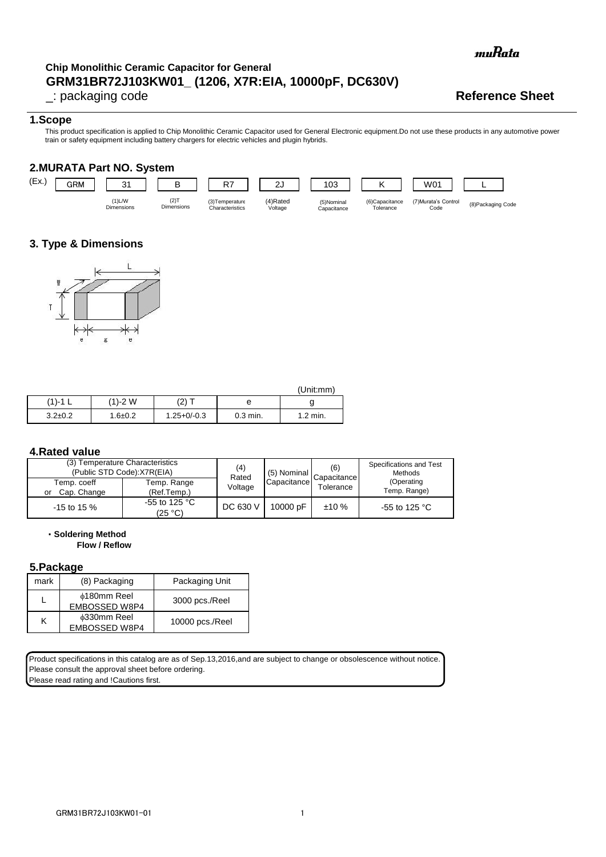muRata

## **GRM31BR72J103KW01\_ (1206, X7R:EIA, 10000pF, DC630V) Chip Monolithic Ceramic Capacitor for General**

\_: packaging code **Reference Sheet**

#### **1.Scope**

This product specification is applied to Chip Monolithic Ceramic Capacitor used for General Electronic equipment.Do not use these products in any automotive power train or safety equipment including battery chargers for electric vehicles and plugin hybrids.

### **2.MURATA Part NO. System**



### **3. Type & Dimensions**



|               |             |                 |            | (Unit:mm)  |
|---------------|-------------|-----------------|------------|------------|
| (1)-1         | (1)-2 W     | $(2)^{-}$       | е          |            |
| $3.2 \pm 0.2$ | $1.6 + 0.2$ | $1.25 + 0/-0.3$ | $0.3$ min. | $1.2$ min. |

#### **4.Rated value**

| (3) Temperature Characteristics<br>(Public STD Code):X7R(EIA) |                                    | (4)<br>Rated | (5) Nominal | (6)<br>Capacitance | Specifications and Test<br>Methods |
|---------------------------------------------------------------|------------------------------------|--------------|-------------|--------------------|------------------------------------|
| Temp. coeff<br>Cap. Change                                    | Temp. Range<br>(Ref.Temp.)         | Voltage      | Capacitance | Tolerance          | (Operating<br>Temp. Range)         |
| or                                                            |                                    |              |             |                    |                                    |
| $-15$ to 15 %                                                 | -55 to 125 $^{\circ}$ C<br>(25 °C) | DC 630 V     | 10000 pF    | ±10%               | -55 to 125 $^{\circ}$ C            |
|                                                               |                                    |              |             |                    |                                    |

・**Soldering Method**

**Flow / Reflow**

#### **5.Package**

| mark | (8) Packaging                       | Packaging Unit  |
|------|-------------------------------------|-----------------|
|      | <b>¢180mm Reel</b><br>EMBOSSED W8P4 | 3000 pcs./Reel  |
| κ    | <b>¢330mm Reel</b><br>EMBOSSED W8P4 | 10000 pcs./Reel |

Product specifications in this catalog are as of Sep.13,2016,and are subject to change or obsolescence without notice. Please consult the approval sheet before ordering.

Please read rating and !Cautions first.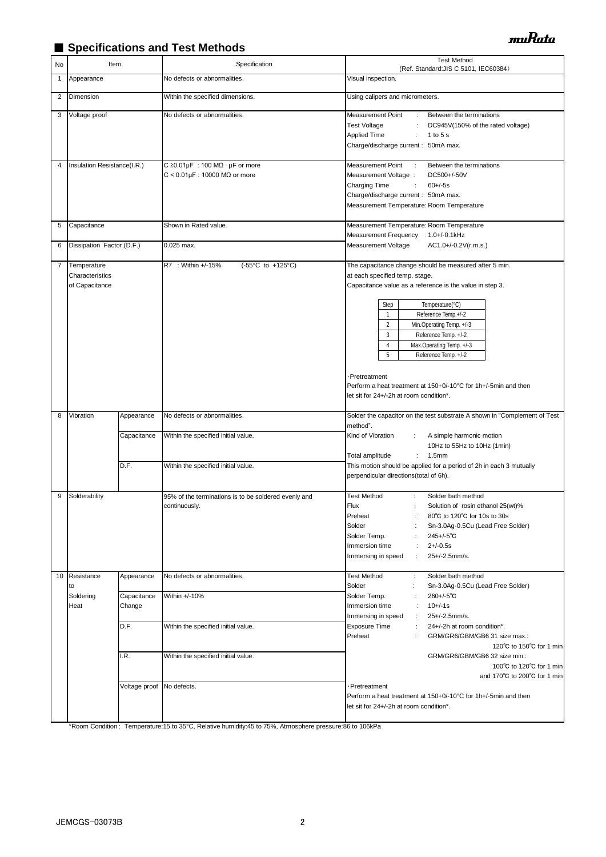## ■ Specifications and Test Methods

| No           | Item                                             |                       | Specification                                                                                       | <b>Test Method</b><br>(Ref. Standard: JIS C 5101, IEC60384)                                                                                                                                                                                                                                                                                                                             |
|--------------|--------------------------------------------------|-----------------------|-----------------------------------------------------------------------------------------------------|-----------------------------------------------------------------------------------------------------------------------------------------------------------------------------------------------------------------------------------------------------------------------------------------------------------------------------------------------------------------------------------------|
| $\mathbf{1}$ | Appearance                                       |                       | No defects or abnormalities.                                                                        | Visual inspection.                                                                                                                                                                                                                                                                                                                                                                      |
| 2            | Dimension                                        |                       | Within the specified dimensions.                                                                    | Using calipers and micrometers.                                                                                                                                                                                                                                                                                                                                                         |
| 3            | Voltage proof                                    |                       | No defects or abnormalities.                                                                        | Measurement Point<br>Between the terminations<br>÷<br><b>Test Voltage</b><br>DC945V(150% of the rated voltage)<br>Applied Time<br>$\ddot{\phantom{a}}$<br>1 to 5 s<br>Charge/discharge current: 50mA max.                                                                                                                                                                               |
| 4            | Insulation Resistance(I.R.)                      |                       | C $\geq$ 0.01µF : 100 M $\Omega \cdot \mu$ F or more<br>$C < 0.01 \mu F$ : 10000 M $\Omega$ or more | Measurement Point<br>$\mathcal{L}$<br>Between the terminations<br>Measurement Voltage :<br>DC500+/-50V<br>Charging Time<br>$\ddot{\phantom{a}}$<br>$60 + (-5s)$<br>Charge/discharge current: 50mA max.<br>Measurement Temperature: Room Temperature                                                                                                                                     |
| 5            | Capacitance                                      |                       | Shown in Rated value.                                                                               | Measurement Temperature: Room Temperature                                                                                                                                                                                                                                                                                                                                               |
| 6            | Dissipation Factor (D.F.)                        |                       | 0.025 max.                                                                                          | Measurement Frequency : 1.0+/-0.1kHz<br>Measurement Voltage<br>AC1.0+/-0.2V(r.m.s.)                                                                                                                                                                                                                                                                                                     |
| 7            | Temperature<br>Characteristics<br>of Capacitance |                       | R7 : Within +/-15%<br>(-55°C to +125°C)                                                             | The capacitance change should be measured after 5 min.<br>at each specified temp. stage.<br>Capacitance value as a reference is the value in step 3.<br>Step<br>Temperature(°C)<br>Reference Temp.+/-2<br>$\mathbf{1}$<br>$\overline{2}$<br>Min.Operating Temp. +/-3<br>$\mathbf{3}$<br>Reference Temp. +/-2<br>$\overline{4}$<br>Max.Operating Temp. +/-3<br>5<br>Reference Temp. +/-2 |
| 8            | Vibration                                        | Appearance            | No defects or abnormalities.                                                                        | ·Pretreatment<br>Perform a heat treatment at 150+0/-10°C for 1h+/-5min and then<br>let sit for 24+/-2h at room condition*.<br>Solder the capacitor on the test substrate A shown in "Complement of Test                                                                                                                                                                                 |
|              |                                                  |                       |                                                                                                     | method".                                                                                                                                                                                                                                                                                                                                                                                |
|              |                                                  | Capacitance           | Within the specified initial value.                                                                 | Kind of Vibration<br>A simple harmonic motion<br>10Hz to 55Hz to 10Hz (1min)<br>Total amplitude<br>1.5 <sub>mm</sub>                                                                                                                                                                                                                                                                    |
|              |                                                  | D.F.                  | Within the specified initial value.                                                                 | This motion should be applied for a period of 2h in each 3 mutually<br>perpendicular directions(total of 6h).                                                                                                                                                                                                                                                                           |
| 9            | Solderability                                    |                       | 95% of the terminations is to be soldered evenly and<br>continuously.                               | <b>Test Method</b><br>Solder bath method<br>÷<br>Flux<br>Solution of rosin ethanol 25(wt)%<br>÷<br>Preheat<br>80°C to 120°C for 10s to 30s<br>÷<br>Solder<br>Sn-3.0Ag-0.5Cu (Lead Free Solder)<br>$245 + (-5)$ °C<br>Solder Temp.<br>$2 + (-0.5s)$<br>Immersion time<br>÷<br>25+/-2.5mm/s.<br>÷<br>Immersing in speed                                                                   |
| 10           | Resistance<br>to                                 | Appearance            | No defects or abnormalities.                                                                        | <b>Test Method</b><br>Solder bath method<br>÷<br>Solder<br>Sn-3.0Ag-0.5Cu (Lead Free Solder)<br>÷                                                                                                                                                                                                                                                                                       |
|              | Soldering<br>Heat                                | Capacitance<br>Change | Within +/-10%                                                                                       | $260 +/-5$ °C<br>Solder Temp.<br>$10 + (-1s)$<br>Immersion time<br>$\cdot$<br>25+/-2.5mm/s.<br>$\ddot{\phantom{a}}$<br>Immersing in speed                                                                                                                                                                                                                                               |
|              |                                                  | D.F.<br>I.R.          | Within the specified initial value.<br>Within the specified initial value.                          | <b>Exposure Time</b><br>$\ddot{\phantom{a}}$<br>24+/-2h at room condition*.<br>Preheat<br>GRM/GR6/GBM/GB6 31 size max.:<br>120°C to 150°C for 1 min<br>GRM/GR6/GBM/GB6 32 size min.:                                                                                                                                                                                                    |
|              |                                                  | Voltage proof         | No defects.                                                                                         | 100°C to 120°C for 1 min<br>and 170°C to 200°C for 1 min<br>Pretreatment<br>Perform a heat treatment at 150+0/-10°C for 1h+/-5min and then                                                                                                                                                                                                                                              |
|              |                                                  |                       |                                                                                                     | let sit for 24+/-2h at room condition*.                                                                                                                                                                                                                                                                                                                                                 |

\*Room Condition : Temperature:15 to 35°C, Relative humidity:45 to 75%, Atmosphere pressure:86 to 106kPa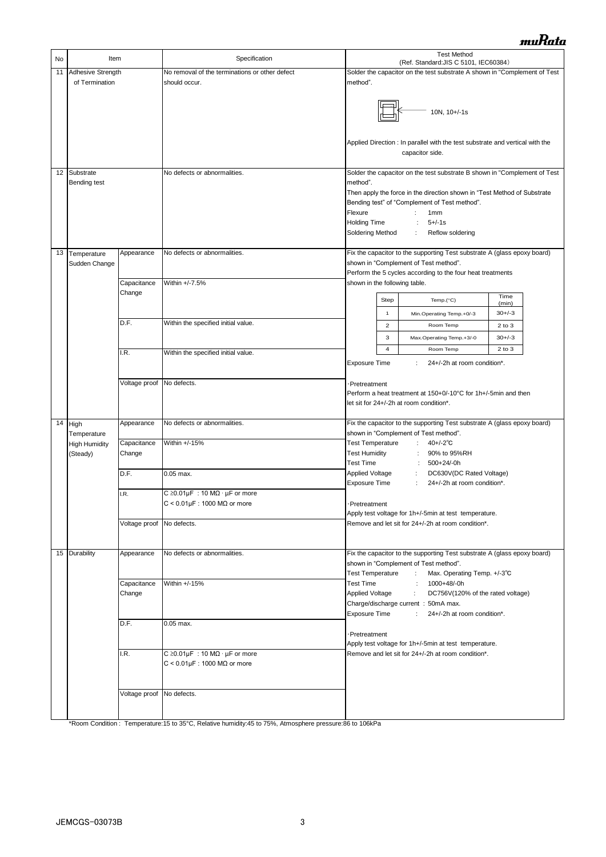| No | Item                 |                           | Specification                                                                      | <b>Test Method</b>                                                                                                                                                                                                                                                                                                                                                                                                                                                                                                                                                                                                                                                                                                                                                                                                                                                                                                                                                                                                                                                                                                                                                                                                                                           |                |                                                                                                                    |             |
|----|----------------------|---------------------------|------------------------------------------------------------------------------------|--------------------------------------------------------------------------------------------------------------------------------------------------------------------------------------------------------------------------------------------------------------------------------------------------------------------------------------------------------------------------------------------------------------------------------------------------------------------------------------------------------------------------------------------------------------------------------------------------------------------------------------------------------------------------------------------------------------------------------------------------------------------------------------------------------------------------------------------------------------------------------------------------------------------------------------------------------------------------------------------------------------------------------------------------------------------------------------------------------------------------------------------------------------------------------------------------------------------------------------------------------------|----------------|--------------------------------------------------------------------------------------------------------------------|-------------|
| 11 | Adhesive Strength    |                           | No removal of the terminations or other defect                                     |                                                                                                                                                                                                                                                                                                                                                                                                                                                                                                                                                                                                                                                                                                                                                                                                                                                                                                                                                                                                                                                                                                                                                                                                                                                              |                | (Ref. Standard: JIS C 5101, IEC60384)<br>Solder the capacitor on the test substrate A shown in "Complement of Test |             |
|    | of Termination       |                           | should occur.                                                                      | method".                                                                                                                                                                                                                                                                                                                                                                                                                                                                                                                                                                                                                                                                                                                                                                                                                                                                                                                                                                                                                                                                                                                                                                                                                                                     |                |                                                                                                                    |             |
|    |                      |                           |                                                                                    | 10N, 10+/-1s<br>Applied Direction : In parallel with the test substrate and vertical with the<br>capacitor side.                                                                                                                                                                                                                                                                                                                                                                                                                                                                                                                                                                                                                                                                                                                                                                                                                                                                                                                                                                                                                                                                                                                                             |                |                                                                                                                    |             |
| 12 | Substrate            |                           | No defects or abnormalities.                                                       |                                                                                                                                                                                                                                                                                                                                                                                                                                                                                                                                                                                                                                                                                                                                                                                                                                                                                                                                                                                                                                                                                                                                                                                                                                                              |                |                                                                                                                    |             |
|    | Bending test         |                           |                                                                                    | Solder the capacitor on the test substrate B shown in "Complement of Test<br>method".<br>Then apply the force in the direction shown in "Test Method of Substrate<br>Bending test" of "Complement of Test method".<br>Flexure<br>÷<br>1 <sub>mm</sub><br><b>Holding Time</b><br>$5 +/-1s$<br>$\ddot{\phantom{a}}$<br>Soldering Method<br>÷.<br>Reflow soldering                                                                                                                                                                                                                                                                                                                                                                                                                                                                                                                                                                                                                                                                                                                                                                                                                                                                                              |                |                                                                                                                    |             |
| 13 | Temperature          | Appearance                | No defects or abnormalities.                                                       |                                                                                                                                                                                                                                                                                                                                                                                                                                                                                                                                                                                                                                                                                                                                                                                                                                                                                                                                                                                                                                                                                                                                                                                                                                                              |                | Fix the capacitor to the supporting Test substrate A (glass epoxy board)                                           |             |
|    | Sudden Change        |                           |                                                                                    |                                                                                                                                                                                                                                                                                                                                                                                                                                                                                                                                                                                                                                                                                                                                                                                                                                                                                                                                                                                                                                                                                                                                                                                                                                                              |                | shown in "Complement of Test method".<br>Perform the 5 cycles according to the four heat treatments                |             |
|    |                      | Capacitance               | Within +/-7.5%                                                                     | shown in the following table.                                                                                                                                                                                                                                                                                                                                                                                                                                                                                                                                                                                                                                                                                                                                                                                                                                                                                                                                                                                                                                                                                                                                                                                                                                |                |                                                                                                                    |             |
|    |                      | Change                    |                                                                                    |                                                                                                                                                                                                                                                                                                                                                                                                                                                                                                                                                                                                                                                                                                                                                                                                                                                                                                                                                                                                                                                                                                                                                                                                                                                              |                |                                                                                                                    | Time        |
|    |                      |                           |                                                                                    |                                                                                                                                                                                                                                                                                                                                                                                                                                                                                                                                                                                                                                                                                                                                                                                                                                                                                                                                                                                                                                                                                                                                                                                                                                                              | Step           | Temp. $(^{\circ}C)$                                                                                                | (min)       |
|    |                      | D.F.                      | Within the specified initial value.                                                |                                                                                                                                                                                                                                                                                                                                                                                                                                                                                                                                                                                                                                                                                                                                                                                                                                                                                                                                                                                                                                                                                                                                                                                                                                                              | $\mathbf{1}$   | Min.Operating Temp.+0/-3                                                                                           | $30+/-3$    |
|    |                      |                           |                                                                                    |                                                                                                                                                                                                                                                                                                                                                                                                                                                                                                                                                                                                                                                                                                                                                                                                                                                                                                                                                                                                                                                                                                                                                                                                                                                              | $\overline{2}$ | Room Temp                                                                                                          | $2$ to $3$  |
|    |                      |                           |                                                                                    |                                                                                                                                                                                                                                                                                                                                                                                                                                                                                                                                                                                                                                                                                                                                                                                                                                                                                                                                                                                                                                                                                                                                                                                                                                                              | 3              | Max.Operating Temp.+3/-0                                                                                           | $30 + / -3$ |
|    |                      | I.R.                      | Within the specified initial value.                                                |                                                                                                                                                                                                                                                                                                                                                                                                                                                                                                                                                                                                                                                                                                                                                                                                                                                                                                                                                                                                                                                                                                                                                                                                                                                              | $\overline{4}$ | Room Temp                                                                                                          | $2$ to $3$  |
|    |                      |                           |                                                                                    | <b>Exposure Time</b>                                                                                                                                                                                                                                                                                                                                                                                                                                                                                                                                                                                                                                                                                                                                                                                                                                                                                                                                                                                                                                                                                                                                                                                                                                         |                | 24+/-2h at room condition*.<br>÷                                                                                   |             |
|    |                      | Voltage proof No defects. |                                                                                    | ·Pretreatment<br>Perform a heat treatment at 150+0/-10°C for 1h+/-5min and then<br>let sit for 24+/-2h at room condition*.                                                                                                                                                                                                                                                                                                                                                                                                                                                                                                                                                                                                                                                                                                                                                                                                                                                                                                                                                                                                                                                                                                                                   |                |                                                                                                                    |             |
| 14 | High<br>Temperature  | Appearance                | No defects or abnormalities.                                                       | Fix the capacitor to the supporting Test substrate A (glass epoxy board)<br>shown in "Complement of Test method".                                                                                                                                                                                                                                                                                                                                                                                                                                                                                                                                                                                                                                                                                                                                                                                                                                                                                                                                                                                                                                                                                                                                            |                |                                                                                                                    |             |
|    | <b>High Humidity</b> | Capacitance               | Within +/-15%                                                                      | <b>Test Temperature</b>                                                                                                                                                                                                                                                                                                                                                                                                                                                                                                                                                                                                                                                                                                                                                                                                                                                                                                                                                                                                                                                                                                                                                                                                                                      |                | $\mathbb{Z}^{\times}$<br>$40 + (-2)$ °C                                                                            |             |
|    | (Steady)             | Change                    |                                                                                    | <b>Test Humidity</b><br><b>Test Time</b>                                                                                                                                                                                                                                                                                                                                                                                                                                                                                                                                                                                                                                                                                                                                                                                                                                                                                                                                                                                                                                                                                                                                                                                                                     |                | 90% to 95%RH<br>$\ddot{\phantom{a}}$<br>500+24/-0h<br>$\mathbb{Z}$                                                 |             |
|    |                      | D.F.                      | $0.05$ max.                                                                        | Applied Voltage                                                                                                                                                                                                                                                                                                                                                                                                                                                                                                                                                                                                                                                                                                                                                                                                                                                                                                                                                                                                                                                                                                                                                                                                                                              |                | ÷.<br>DC630V(DC Rated Voltage)                                                                                     |             |
|    |                      |                           |                                                                                    | <b>Exposure Time</b><br>÷<br>24+/-2h at room condition*.                                                                                                                                                                                                                                                                                                                                                                                                                                                                                                                                                                                                                                                                                                                                                                                                                                                                                                                                                                                                                                                                                                                                                                                                     |                |                                                                                                                    |             |
|    |                      | I.R.                      | C $\geq$ 0.01µF : 10 M $\Omega \cdot \mu$ F or more                                |                                                                                                                                                                                                                                                                                                                                                                                                                                                                                                                                                                                                                                                                                                                                                                                                                                                                                                                                                                                                                                                                                                                                                                                                                                                              |                |                                                                                                                    |             |
|    |                      |                           | $C < 0.01 \mu F$ : 1000 M $\Omega$ or more                                         | Pretreatment                                                                                                                                                                                                                                                                                                                                                                                                                                                                                                                                                                                                                                                                                                                                                                                                                                                                                                                                                                                                                                                                                                                                                                                                                                                 |                |                                                                                                                    |             |
|    |                      | Voltage proof No defects. |                                                                                    |                                                                                                                                                                                                                                                                                                                                                                                                                                                                                                                                                                                                                                                                                                                                                                                                                                                                                                                                                                                                                                                                                                                                                                                                                                                              |                | Apply test voltage for 1h+/-5min at test temperature.<br>Remove and let sit for 24+/-2h at room condition*.        |             |
|    |                      |                           |                                                                                    |                                                                                                                                                                                                                                                                                                                                                                                                                                                                                                                                                                                                                                                                                                                                                                                                                                                                                                                                                                                                                                                                                                                                                                                                                                                              |                |                                                                                                                    |             |
|    | 15 Durability        | Appearance                | No defects or abnormalities.                                                       | Fix the capacitor to the supporting Test substrate A (glass epoxy board)<br>shown in "Complement of Test method".<br><b>Test Temperature</b><br>Max. Operating Temp. +/-3°C<br><b>The Story</b><br><b>Test Time</b><br>: 1000+48/-0h<br>Applied Voltage<br>DC756V(120% of the rated voltage)<br>$\mathcal{I}^{\mathcal{I}^{\mathcal{I}^{\mathcal{I}^{\mathcal{I}^{\mathcal{I}^{\mathcal{I}^{\mathcal{I}^{\mathcal{I}^{\mathcal{I}^{\mathcal{I}^{\mathcal{I}^{\mathcal{I}^{\mathcal{I}^{\mathcal{I}^{\mathcal{I}^{\mathcal{I}^{\mathcal{I}^{\mathcal{I}^{\mathcal{I}^{\mathcal{I}^{\mathcal{I}^{\mathcal{I}^{\mathcal{I}^{\mathcal{I}^{\mathcal{I}^{\mathcal{I}^{\mathcal{I}^{\mathcal{I}^{\mathcal{I}^{\mathcal{I}^{\mathcal$<br>Charge/discharge current: 50mA max.<br><b>Exposure Time</b><br>$\mathcal{I}^{\mathcal{I}^{\mathcal{I}^{\mathcal{I}^{\mathcal{I}^{\mathcal{I}^{\mathcal{I}^{\mathcal{I}^{\mathcal{I}^{\mathcal{I}^{\mathcal{I}^{\mathcal{I}^{\mathcal{I}^{\mathcal{I}^{\mathcal{I}^{\mathcal{I}^{\mathcal{I}^{\mathcal{I}^{\mathcal{I}^{\mathcal{I}^{\mathcal{I}^{\mathcal{I}^{\mathcal{I}^{\mathcal{I}^{\mathcal{I}^{\mathcal{I}^{\mathcal{I}^{\mathcal{I}^{\mathcal{I}^{\mathcal{I}^{\mathcal{I}^{\mathcal$<br>24+/-2h at room condition*. |                |                                                                                                                    |             |
|    |                      | Capacitance<br>Change     | Within +/-15%                                                                      |                                                                                                                                                                                                                                                                                                                                                                                                                                                                                                                                                                                                                                                                                                                                                                                                                                                                                                                                                                                                                                                                                                                                                                                                                                                              |                |                                                                                                                    |             |
|    |                      | D.F.                      | 0.05 max.                                                                          | ·Pretreatment<br>Apply test voltage for 1h+/-5min at test temperature.<br>Remove and let sit for 24+/-2h at room condition*.                                                                                                                                                                                                                                                                                                                                                                                                                                                                                                                                                                                                                                                                                                                                                                                                                                                                                                                                                                                                                                                                                                                                 |                |                                                                                                                    |             |
|    |                      | I.R.                      | C $\geq$ 0.01µF : 10 MΩ · µF or more<br>$C < 0.01 \mu F$ : 1000 M $\Omega$ or more |                                                                                                                                                                                                                                                                                                                                                                                                                                                                                                                                                                                                                                                                                                                                                                                                                                                                                                                                                                                                                                                                                                                                                                                                                                                              |                |                                                                                                                    |             |
|    |                      | Voltage proof No defects. |                                                                                    |                                                                                                                                                                                                                                                                                                                                                                                                                                                                                                                                                                                                                                                                                                                                                                                                                                                                                                                                                                                                                                                                                                                                                                                                                                                              |                |                                                                                                                    |             |
|    |                      |                           |                                                                                    |                                                                                                                                                                                                                                                                                                                                                                                                                                                                                                                                                                                                                                                                                                                                                                                                                                                                                                                                                                                                                                                                                                                                                                                                                                                              |                |                                                                                                                    |             |

\*Room Condition : Temperature:15 to 35°C, Relative humidity:45 to 75%, Atmosphere pressure:86 to 106kPa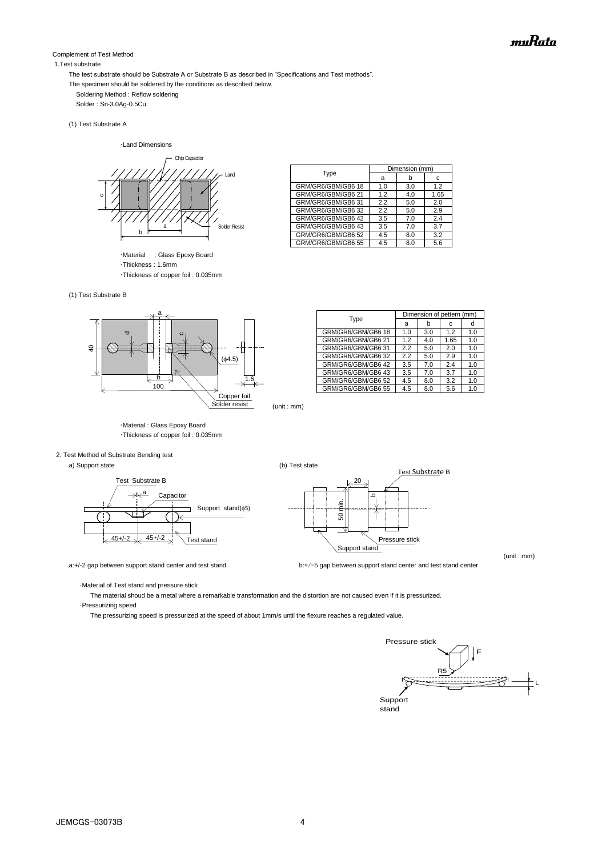#### Complement of Test Method

#### 1.Test substrate

The test substrate should be Substrate A or Substrate B as described in "Specifications and Test methods".

- The specimen should be soldered by the conditions as described below.
	- Soldering Method : Reflow soldering

Solder : Sn-3.0Ag-0.5Cu

(1) Test Substrate A

・Land Dimensions



・Material : Glass Epoxy Board ・Thickness : 1.6mm ・Thickness of copper foil : 0.035mm

| (1) Test Substrate B |  |
|----------------------|--|



|                    | Dimension of pettern (mm) |     |      |     |
|--------------------|---------------------------|-----|------|-----|
| Type               | a                         | b   | с    | d   |
| GRM/GR6/GBM/GB6 18 | 1.0                       | 3.0 | 1.2  | 1.0 |
| GRM/GR6/GBM/GB6 21 | 1.2                       | 4.0 | 1.65 | 1.0 |
| GRM/GR6/GBM/GB6 31 | 2.2                       | 5.0 | 2.0  | 1.0 |
| GRM/GR6/GBM/GB6 32 | 2.2                       | 5.0 | 2.9  | 1.0 |
| GRM/GR6/GBM/GB6 42 | 3.5                       | 7.0 | 2.4  | 1.0 |
| GRM/GR6/GBM/GB6 43 | 3.5                       | 7.0 | 3.7  | 1.0 |
| GRM/GR6/GBM/GB6 52 | 4.5                       | 8.0 | 3.2  | 1.0 |
| GRM/GR6/GBM/GB6 55 | 4.5                       | 8.0 | 5.6  | 1.0 |

Type Dimension (mm)

GRM/GR6/GBM/GB6 18 1.0 3.0 1.2<br>GRM/GR6/GBM/GB6 21 1.2 4.0 1.65

GRM/GR6/GBM/GB6 31 2.2 5.0 2.0<br>GRM/GR6/GRM/GB6 32 22 5.0 2.9

GRM/GR6/GBM/GB6 42 3.5 7.0 2.4<br>GRM/GR6/GBM/GB6 43 3.5 7.0 3.7 GRM/GR6/GBM/GB6 43 3.5 7.0 3.7 GRM/GR6/GBM/GB6 52 4.5 8.0

GRM/GR6/GBM/GB6 21

GRM/GR6/GRM/GR6 32

R6/GRM/

 $a$  b c



・Material : Glass Epoxy Board ・Thickness of copper foil : 0.035mm

#### 2. Test Method of Substrate Bending test

a) Support state (b) Test state (c)





a:+/-2 gap between support stand center and test stand **by the stand by the stand center** and test stand center

(unit : mm)

·Material of Test stand and pressure stick

 The material shoud be a metal where a remarkable transformation and the distortion are not caused even if it is pressurized. ·Pressurizing speed

The pressurizing speed is pressurized at the speed of about 1mm/s until the flexure reaches a regulated value.

Pressure stick F R5 L **Support** stand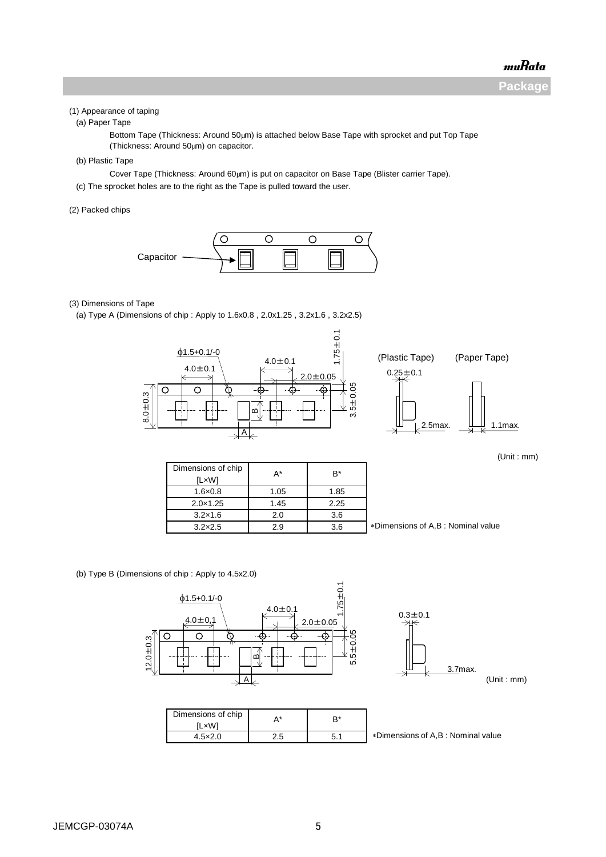**Package**

#### (1) Appearance of taping

(a) Paper Tape

Bottom Tape (Thickness: Around 50µm) is attached below Base Tape with sprocket and put Top Tape (Thickness: Around  $50 \mu m$ ) on capacitor.

(b) Plastic Tape

Cover Tape (Thickness: Around 60µm) is put on capacitor on Base Tape (Blister carrier Tape).

(c) The sprocket holes are to the right as the Tape is pulled toward the user.

(2) Packed chips



#### (3) Dimensions of Tape

(a) Type A (Dimensions of chip : Apply to 1.6x0.8 , 2.0x1.25 , 3.2x1.6 , 3.2x2.5)



(Unit : mm)

| Dimensions of chip | A*   | B*   |
|--------------------|------|------|
| [L×W]              |      |      |
| $1.6 \times 0.8$   | 1.05 | 1.85 |
| $2.0 \times 1.25$  | 1.45 | 2.25 |
| $3.2 \times 1.6$   | 2.0  | 3.6  |
| $3.2\times2.5$     | 2.9  | 3.6  |

Dimensions of A,B : Nominal value

(b) Type B (Dimensions of chip : Apply to 4.5x2.0)

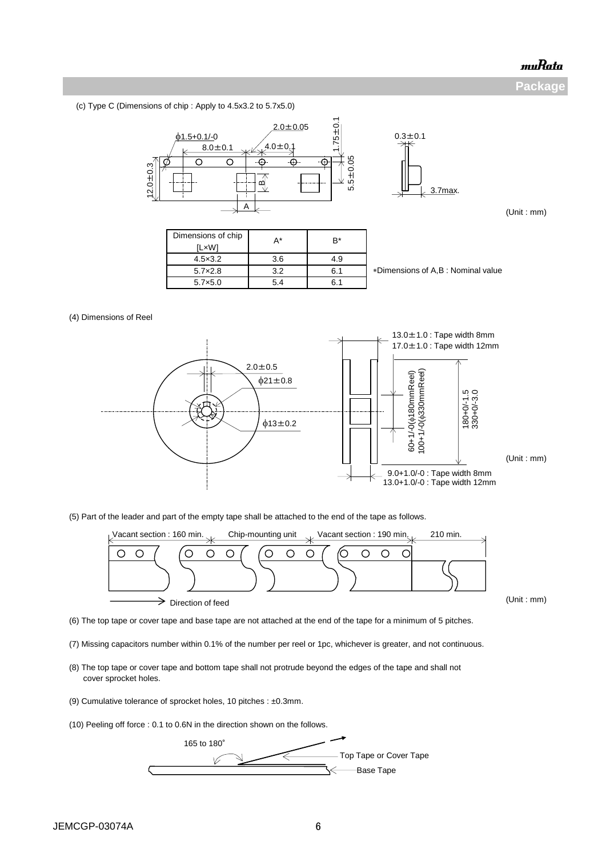**Package**

(c) Type C (Dimensions of chip : Apply to 4.5x3.2 to 5.7x5.0)



(5) Part of the leader and part of the empty tape shall be attached to the end of the tape as follows.



(Unit : mm)

(6) The top tape or cover tape and base tape are not attached at the end of the tape for a minimum of 5 pitches.

- (7) Missing capacitors number within 0.1% of the number per reel or 1pc, whichever is greater, and not continuous.
- (8) The top tape or cover tape and bottom tape shall not protrude beyond the edges of the tape and shall not cover sprocket holes.
- (9) Cumulative tolerance of sprocket holes, 10 pitches : ±0.3mm.

(10) Peeling off force : 0.1 to 0.6N in the direction shown on the follows.

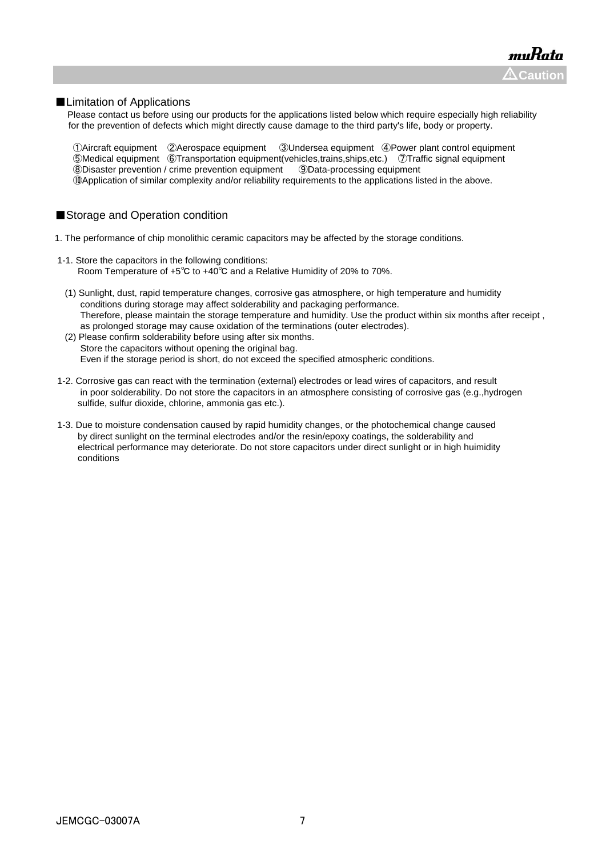#### ■Limitation of Applications

 Please contact us before using our products for the applications listed below which require especially high reliability for the prevention of defects which might directly cause damage to the third party's life, body or property.

Aircraft equipment ②Aerospace equipment ③Undersea equipment ④Power plant control equipment Medical equipment ⑥Transportation equipment(vehicles,trains,ships,etc.) ⑦Traffic signal equipment Disaster prevention / crime prevention equipment ⑨Data-processing equipment ⑩Application of similar complexity and/or reliability requirements to the applications listed in the above.

#### ■Storage and Operation condition

- 1. The performance of chip monolithic ceramic capacitors may be affected by the storage conditions.
- 1-1. Store the capacitors in the following conditions: Room Temperature of +5℃ to +40℃ and a Relative Humidity of 20% to 70%.
	- (1) Sunlight, dust, rapid temperature changes, corrosive gas atmosphere, or high temperature and humidity conditions during storage may affect solderability and packaging performance. Therefore, please maintain the storage temperature and humidity. Use the product within six months after receipt , as prolonged storage may cause oxidation of the terminations (outer electrodes).
	- (2) Please confirm solderability before using after six months. Store the capacitors without opening the original bag. Even if the storage period is short, do not exceed the specified atmospheric conditions.
- 1-2. Corrosive gas can react with the termination (external) electrodes or lead wires of capacitors, and result in poor solderability. Do not store the capacitors in an atmosphere consisting of corrosive gas (e.g.,hydrogen sulfide, sulfur dioxide, chlorine, ammonia gas etc.).
- 1-3. Due to moisture condensation caused by rapid humidity changes, or the photochemical change caused by direct sunlight on the terminal electrodes and/or the resin/epoxy coatings, the solderability and electrical performance may deteriorate. Do not store capacitors under direct sunlight or in high huimidity conditions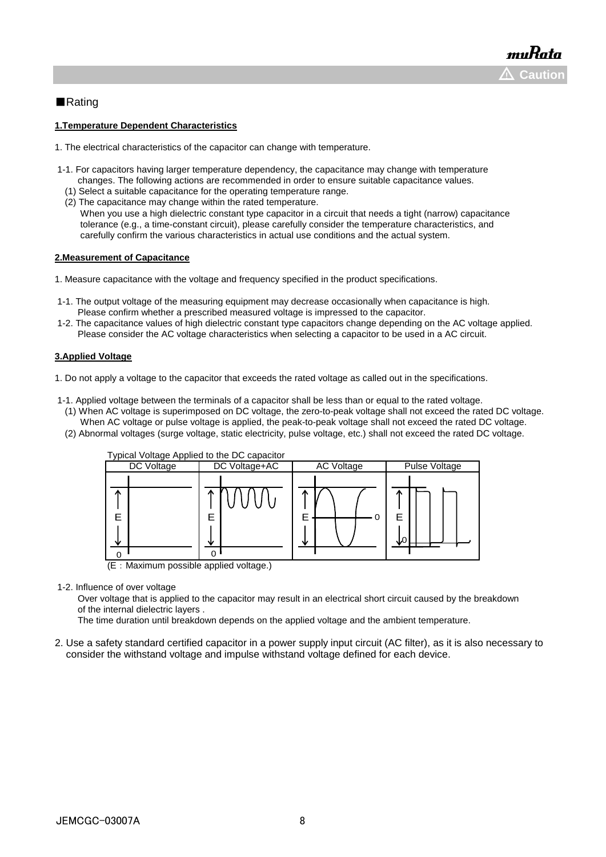#### ■Rating

#### **1.Temperature Dependent Characteristics**

- 1. The electrical characteristics of the capacitor can change with temperature.
- 1-1. For capacitors having larger temperature dependency, the capacitance may change with temperature changes. The following actions are recommended in order to ensure suitable capacitance values.
	- (1) Select a suitable capacitance for the operating temperature range.
- (2) The capacitance may change within the rated temperature. When you use a high dielectric constant type capacitor in a circuit that needs a tight (narrow) capacitance
	- tolerance (e.g., a time-constant circuit), please carefully consider the temperature characteristics, and carefully confirm the various characteristics in actual use conditions and the actual system.

#### **2.Measurement of Capacitance**

1. Measure capacitance with the voltage and frequency specified in the product specifications.

- 1-1. The output voltage of the measuring equipment may decrease occasionally when capacitance is high. Please confirm whether a prescribed measured voltage is impressed to the capacitor.
- 1-2. The capacitance values of high dielectric constant type capacitors change depending on the AC voltage applied. Please consider the AC voltage characteristics when selecting a capacitor to be used in a AC circuit.

#### **3.Applied Voltage**

1. Do not apply a voltage to the capacitor that exceeds the rated voltage as called out in the specifications.

- 1-1. Applied voltage between the terminals of a capacitor shall be less than or equal to the rated voltage.
- (1) When AC voltage is superimposed on DC voltage, the zero-to-peak voltage shall not exceed the rated DC voltage. When AC voltage or pulse voltage is applied, the peak-to-peak voltage shall not exceed the rated DC voltage.
- (2) Abnormal voltages (surge voltage, static electricity, pulse voltage, etc.) shall not exceed the rated DC voltage.



1-2. Influence of over voltage

 Over voltage that is applied to the capacitor may result in an electrical short circuit caused by the breakdown of the internal dielectric layers .

The time duration until breakdown depends on the applied voltage and the ambient temperature.

2. Use a safety standard certified capacitor in a power supply input circuit (AC filter), as it is also necessary to consider the withstand voltage and impulse withstand voltage defined for each device.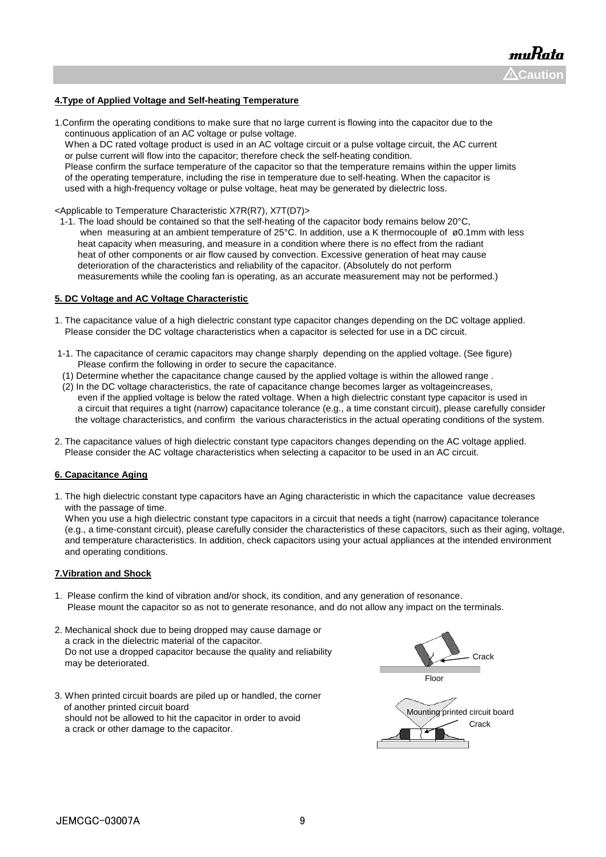#### **4.Type of Applied Voltage and Self-heating Temperature**

1.Confirm the operating conditions to make sure that no large current is flowing into the capacitor due to the continuous application of an AC voltage or pulse voltage.

 When a DC rated voltage product is used in an AC voltage circuit or a pulse voltage circuit, the AC current or pulse current will flow into the capacitor; therefore check the self-heating condition.

 Please confirm the surface temperature of the capacitor so that the temperature remains within the upper limits of the operating temperature, including the rise in temperature due to self-heating. When the capacitor is used with a high-frequency voltage or pulse voltage, heat may be generated by dielectric loss.

<Applicable to Temperature Characteristic X7R(R7), X7T(D7)>

 1-1. The load should be contained so that the self-heating of the capacitor body remains below 20°C, when measuring at an ambient temperature of 25°C. In addition, use a K thermocouple of ø0.1mm with less heat capacity when measuring, and measure in a condition where there is no effect from the radiant heat of other components or air flow caused by convection. Excessive generation of heat may cause deterioration of the characteristics and reliability of the capacitor. (Absolutely do not perform measurements while the cooling fan is operating, as an accurate measurement may not be performed.)

#### **5. DC Voltage and AC Voltage Characteristic**

- 1. The capacitance value of a high dielectric constant type capacitor changes depending on the DC voltage applied. Please consider the DC voltage characteristics when a capacitor is selected for use in a DC circuit.
- 1-1. The capacitance of ceramic capacitors may change sharply depending on the applied voltage. (See figure) Please confirm the following in order to secure the capacitance.
- (1) Determine whether the capacitance change caused by the applied voltage is within the allowed range .
- (2) In the DC voltage characteristics, the rate of capacitance change becomes larger as voltageincreases, even if the applied voltage is below the rated voltage. When a high dielectric constant type capacitor is used in a circuit that requires a tight (narrow) capacitance tolerance (e.g., a time constant circuit), please carefully consider the voltage characteristics, and confirm the various characteristics in the actual operating conditions of the system.
- 2. The capacitance values of high dielectric constant type capacitors changes depending on the AC voltage applied. Please consider the AC voltage characteristics when selecting a capacitor to be used in an AC circuit.

#### **6. Capacitance Aging**

1. The high dielectric constant type capacitors have an Aging characteristic in which the capacitance value decreases with the passage of time.

 When you use a high dielectric constant type capacitors in a circuit that needs a tight (narrow) capacitance tolerance (e.g., a time-constant circuit), please carefully consider the characteristics of these capacitors, such as their aging, voltage, and temperature characteristics. In addition, check capacitors using your actual appliances at the intended environment and operating conditions.

#### **7.Vibration and Shock**

- 1. Please confirm the kind of vibration and/or shock, its condition, and any generation of resonance. Please mount the capacitor so as not to generate resonance, and do not allow any impact on the terminals.
- 2. Mechanical shock due to being dropped may cause damage or a crack in the dielectric material of the capacitor. Do not use a dropped capacitor because the quality and reliability may be deteriorated.
- 3. When printed circuit boards are piled up or handled, the corner of another printed circuit board should not be allowed to hit the capacitor in order to avoid a crack or other damage to the capacitor.

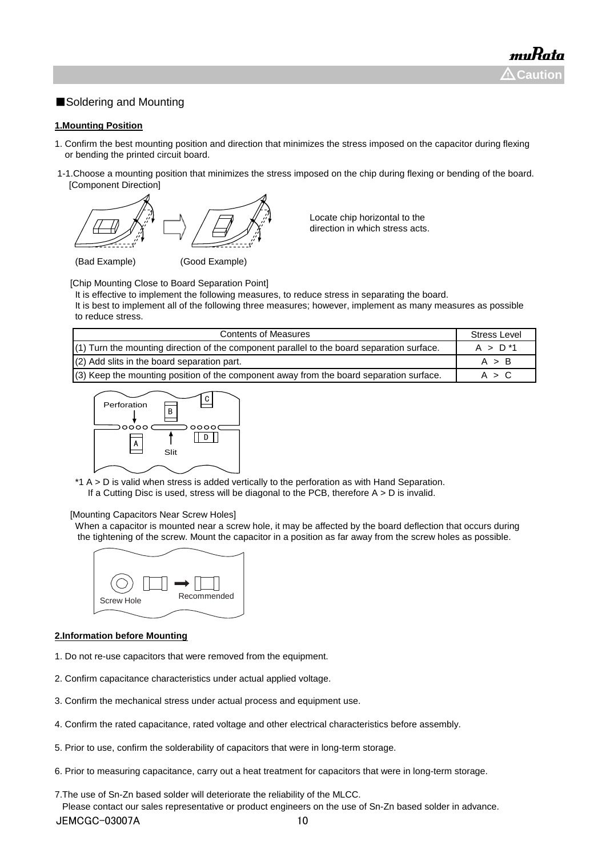### ■Soldering and Mounting

#### **1.Mounting Position**

- 1. Confirm the best mounting position and direction that minimizes the stress imposed on the capacitor during flexing or bending the printed circuit board.
- 1-1.Choose a mounting position that minimizes the stress imposed on the chip during flexing or bending of the board. [Component Direction]



Locate chip horizontal to the direction in which stress acts.

[Chip Mounting Close to Board Separation Point]

It is effective to implement the following measures, to reduce stress in separating the board.

It is best to implement all of the following three measures; however, implement as many measures as possible to reduce stress.

| <b>Contents of Measures</b>                                                                  | <b>Stress Level</b> |
|----------------------------------------------------------------------------------------------|---------------------|
| $(1)$ Turn the mounting direction of the component parallel to the board separation surface. | $A > D^*1$          |
| (2) Add slits in the board separation part.                                                  | A > B               |
| (3) Keep the mounting position of the component away from the board separation surface.      | A > C               |



\*1 A > D is valid when stress is added vertically to the perforation as with Hand Separation. If a Cutting Disc is used, stress will be diagonal to the PCB, therefore  $A > D$  is invalid.

#### [Mounting Capacitors Near Screw Holes]

When a capacitor is mounted near a screw hole, it may be affected by the board deflection that occurs during the tightening of the screw. Mount the capacitor in a position as far away from the screw holes as possible.



#### **2.Information before Mounting**

- 1. Do not re-use capacitors that were removed from the equipment.
- 2. Confirm capacitance characteristics under actual applied voltage.
- 3. Confirm the mechanical stress under actual process and equipment use.
- 4. Confirm the rated capacitance, rated voltage and other electrical characteristics before assembly.
- 5. Prior to use, confirm the solderability of capacitors that were in long-term storage.
- 6. Prior to measuring capacitance, carry out a heat treatment for capacitors that were in long-term storage.

7.The use of Sn-Zn based solder will deteriorate the reliability of the MLCC.

 Please contact our sales representative or product engineers on the use of Sn-Zn based solder in advance. JEMCGC-03007A 10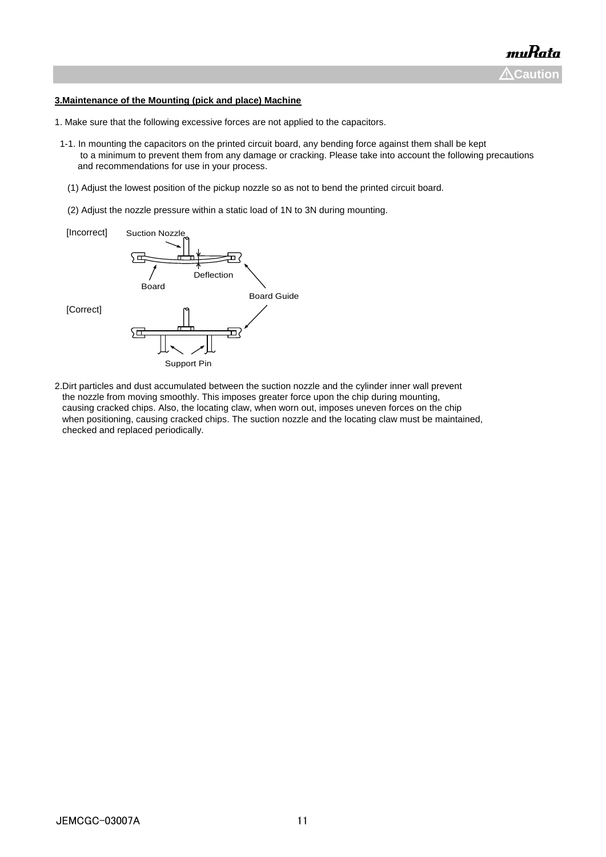#### **3.Maintenance of the Mounting (pick and place) Machine**

- 1. Make sure that the following excessive forces are not applied to the capacitors.
- 1-1. In mounting the capacitors on the printed circuit board, any bending force against them shall be kept to a minimum to prevent them from any damage or cracking. Please take into account the following precautions and recommendations for use in your process.
	- (1) Adjust the lowest position of the pickup nozzle so as not to bend the printed circuit board.
	- (2) Adjust the nozzle pressure within a static load of 1N to 3N during mounting.



2.Dirt particles and dust accumulated between the suction nozzle and the cylinder inner wall prevent the nozzle from moving smoothly. This imposes greater force upon the chip during mounting, causing cracked chips. Also, the locating claw, when worn out, imposes uneven forces on the chip when positioning, causing cracked chips. The suction nozzle and the locating claw must be maintained, checked and replaced periodically.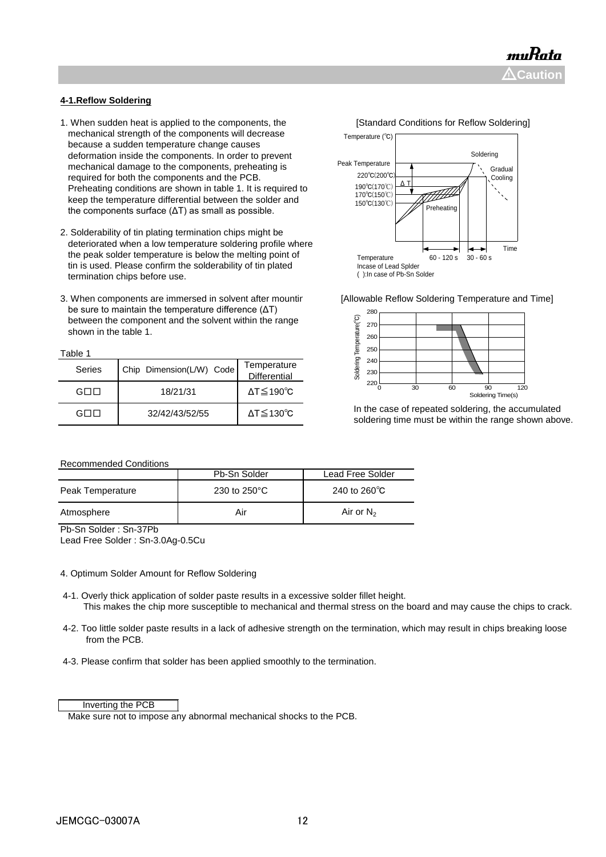#### **4-1.Reflow Soldering**

- 1. When sudden heat is applied to the components, the **[Standard Conditions for Reflow Soldering]**  mechanical strength of the components will decrease because a sudden temperature change causes deformation inside the components. In order to prevent mechanical damage to the components, preheating is required for both the components and the PCB. Preheating conditions are shown in table 1. It is required to keep the temperature differential between the solder and the components surface (ΔT) as small as possible.
- 2. Solderability of tin plating termination chips might be deteriorated when a low temperature soldering profile where the peak solder temperature is below the melting point of tin is used. Please confirm the solderability of tin plated termination chips before use.
- 3. When components are immersed in solvent after mountir [Allowable Reflow Soldering Temperature and Time] be sure to maintain the temperature difference (ΔT) between the component and the solvent within the range shown in the table 1.

| ыı |  |
|----|--|
|    |  |

| Series | Chip Dimension(L/W) Code | Temperature<br>Differential  |
|--------|--------------------------|------------------------------|
| GE 11  | 18/21/31                 | $\Delta T \leq 190^{\circ}C$ |
|        | 32/42/43/52/55           | $\Delta T \leq 130^{\circ}C$ |





 In the case of repeated soldering, the accumulated soldering time must be within the range shown above.

#### Recommended Conditions

| - - -<br>$\overline{\phantom{0}}$<br>----<br>__ |                        |                        |
|-------------------------------------------------|------------------------|------------------------|
| Atmosphere                                      | Air                    | Air or $N_2$           |
| Peak Temperature                                | 230 to $250^{\circ}$ C | 240 to $260^{\circ}$ C |
|                                                 | Pb-Sn Solder           | Lead Free Solder       |

Pb-Sn Solder : Sn-37Pb

Lead Free Solder : Sn-3.0Ag-0.5Cu

#### 4. Optimum Solder Amount for Reflow Soldering

- 4-1. Overly thick application of solder paste results in a excessive solder fillet height. This makes the chip more susceptible to mechanical and thermal stress on the board and may cause the chips to crack.
- 4-2. Too little solder paste results in a lack of adhesive strength on the termination, which may result in chips breaking loose from the PCB.
- 4-3. Please confirm that solder has been applied smoothly to the termination.

#### Inverting the PCB

Make sure not to impose any abnormal mechanical shocks to the PCB.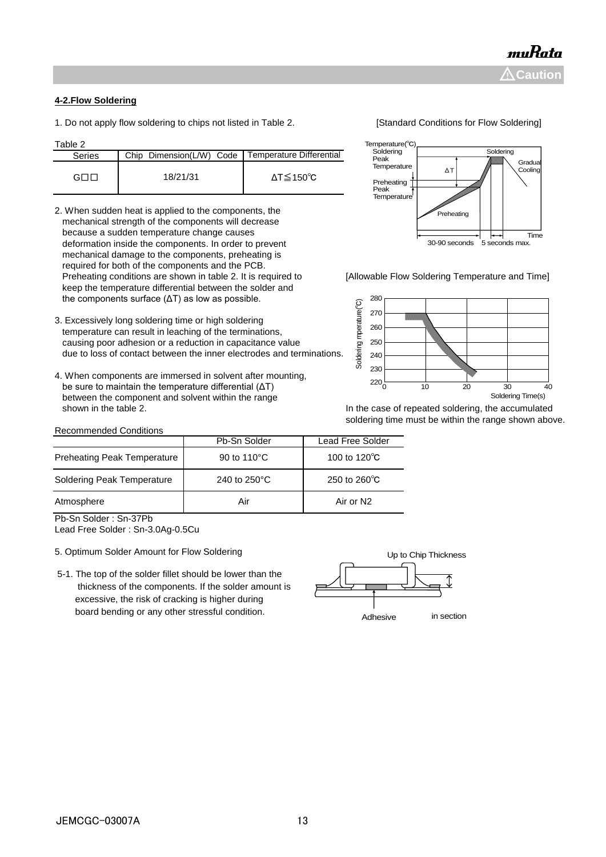#### **4-2.Flow Soldering**

1. Do not apply flow soldering to chips not listed in Table 2. [Standard Conditions for Flow Soldering]

Table 2

| i avit z      |                                                     |         |
|---------------|-----------------------------------------------------|---------|
| <b>Series</b> | Chip Dimension(L/W) Code   Temperature Differential |         |
| GOL           | 18/21/31                                            | ΔT≦150℃ |

- 2. When sudden heat is applied to the components, the mechanical strength of the components will decrease because a sudden temperature change causes deformation inside the components. In order to prevent mechanical damage to the components, preheating is required for both of the components and the PCB. Preheating conditions are shown in table 2. It is required to [Allowable Flow Soldering Temperature and Time] keep the temperature differential between the solder and the components surface (ΔT) as low as possible.
- 3. Excessively long soldering time or high soldering temperature can result in leaching of the terminations, causing poor adhesion or a reduction in capacitance value due to loss of contact between the inner electrodes and terminations.
- 4. When components are immersed in solvent after mounting, be sure to maintain the temperature differential (ΔT) between the component and solvent within the range shown in the table 2. **In the case of repeated soldering, the accumulated** shown in the table 2.

#### Recommended Conditions

| mperature(°C)       |    |                    |
|---------------------|----|--------------------|
| Soldering           |    | Soldering          |
| Peak<br>Temperature | ΛT | Gradual<br>Cooling |
| Preheating          |    |                    |

Temperature<sub>n</sub>

Peak Temperature 30-90 seconds **reheat** 5 seconds max. Time



soldering time must be within the range shown above.

| novonimonava vonamono              |              |                         |  |  |  |
|------------------------------------|--------------|-------------------------|--|--|--|
|                                    | Pb-Sn Solder | <b>Lead Free Solder</b> |  |  |  |
| <b>Preheating Peak Temperature</b> | 90 to 110°C  | 100 to 120 $\degree$ C  |  |  |  |
| Soldering Peak Temperature         | 240 to 250°C | 250 to 260 $\degree$ C  |  |  |  |
| Atmosphere                         | Air          | Air or N2               |  |  |  |
| -<br>$\sim$<br>$- - -$<br>- -      |              |                         |  |  |  |

Pb-Sn Solder : Sn-37Pb

Lead Free Solder : Sn-3.0Ag-0.5Cu

- 5. Optimum Solder Amount for Flow Soldering
- 5-1. The top of the solder fillet should be lower than the thickness of the components. If the solder amount is excessive, the risk of cracking is higher during board bending or any other stressful condition.

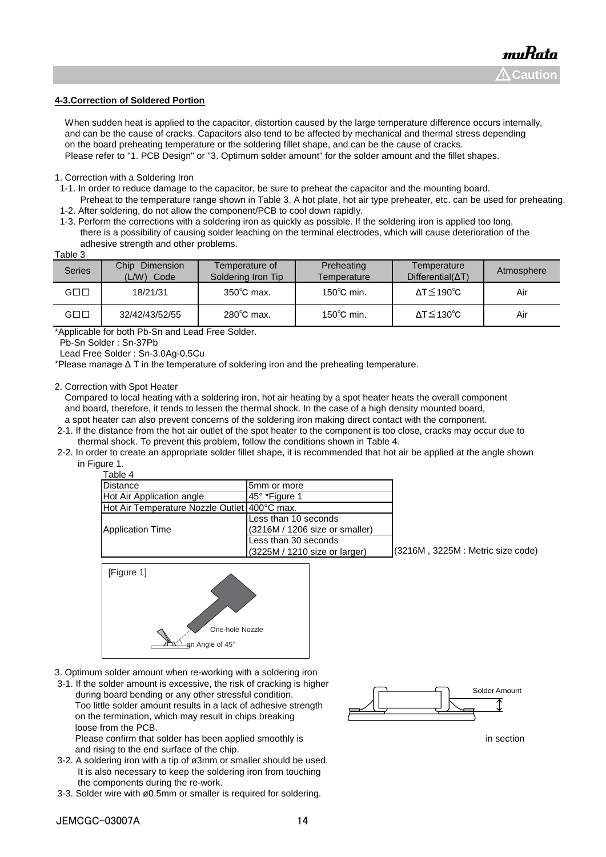#### **4-3.Correction of Soldered Portion**

When sudden heat is applied to the capacitor, distortion caused by the large temperature difference occurs internally, and can be the cause of cracks. Capacitors also tend to be affected by mechanical and thermal stress depending on the board preheating temperature or the soldering fillet shape, and can be the cause of cracks. Please refer to "1. PCB Design" or "3. Optimum solder amount" for the solder amount and the fillet shapes.

1. Correction with a Soldering Iron

- 1-1. In order to reduce damage to the capacitor, be sure to preheat the capacitor and the mounting board.
- Preheat to the temperature range shown in Table 3. A hot plate, hot air type preheater, etc. can be used for preheating. 1-2. After soldering, do not allow the component/PCB to cool down rapidly.
- 1-3. Perform the corrections with a soldering iron as quickly as possible. If the soldering iron is applied too long, there is a possibility of causing solder leaching on the terminal electrodes, which will cause deterioration of the adhesive strength and other problems.

| <b>Series</b>       | Chip<br>Dimension<br>(L/W)<br>Code | Temperature of<br>Soldering Iron Tip | Preheating<br>Temperature | Temperature<br>$Differential(\Delta T)$ | Atmosphere |
|---------------------|------------------------------------|--------------------------------------|---------------------------|-----------------------------------------|------------|
| $G \square \square$ | 18/21/31                           | $350^{\circ}$ C max.                 | $150^{\circ}$ C min.      | $\Delta T \le 190^{\circ}C$             | Air        |
| $G \square \square$ | 32/42/43/52/55                     | $280^{\circ}$ C max.                 | $150^{\circ}$ C min.      | $\Delta T \leq 130^{\circ}C$            | Air        |

\*Applicable for both Pb-Sn and Lead Free Solder.

Pb-Sn Solder : Sn-37Pb

Lead Free Solder : Sn-3.0Ag-0.5Cu

\*Please manage Δ T in the temperature of soldering iron and the preheating temperature.

2. Correction with Spot Heater

 Compared to local heating with a soldering iron, hot air heating by a spot heater heats the overall component and board, therefore, it tends to lessen the thermal shock. In the case of a high density mounted board, a spot heater can also prevent concerns of the soldering iron making direct contact with the component.

- 2-1. If the distance from the hot air outlet of the spot heater to the component is too close, cracks may occur due to thermal shock. To prevent this problem, follow the conditions shown in Table 4.
- 2-2. In order to create an appropriate solder fillet shape, it is recommended that hot air be applied at the angle shown in Figure 1.

|  | Table 4 |  |  |
|--|---------|--|--|

| Distance                                       | 5mm or more                     |                                   |
|------------------------------------------------|---------------------------------|-----------------------------------|
| Hot Air Application angle                      | 145° *Figure 1                  |                                   |
| Hot Air Temperature Nozzle Outlet   400°C max. |                                 |                                   |
|                                                | Less than 10 seconds            |                                   |
| Application Time                               | (3216M / 1206 size or smaller)  |                                   |
|                                                | Less than 30 seconds            |                                   |
|                                                | $(3225M / 1210$ size or larger) | (3216M, 3225M : Metric size code) |



- 3. Optimum solder amount when re-working with a soldering iron
- 3-1. If the solder amount is excessive, the risk of cracking is higher during board bending or any other stressful condition. Too little solder amount results in a lack of adhesive strength on the termination, which may result in chips breaking loose from the PCB.

Please confirm that solder has been applied smoothly is in section in section and rising to the end surface of the chip.

- 3-2. A soldering iron with a tip of ø3mm or smaller should be used. It is also necessary to keep the soldering iron from touching the components during the re-work.
- 3-3. Solder wire with ø0.5mm or smaller is required for soldering.

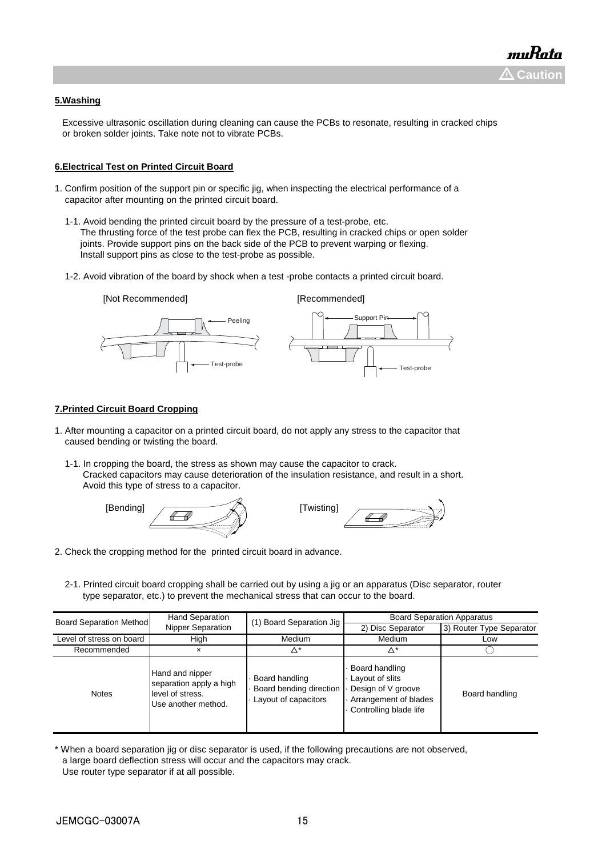#### **5.Washing**

 Excessive ultrasonic oscillation during cleaning can cause the PCBs to resonate, resulting in cracked chips or broken solder joints. Take note not to vibrate PCBs.

#### **6.Electrical Test on Printed Circuit Board**

- 1. Confirm position of the support pin or specific jig, when inspecting the electrical performance of a capacitor after mounting on the printed circuit board.
	- 1-1. Avoid bending the printed circuit board by the pressure of a test-probe, etc. The thrusting force of the test probe can flex the PCB, resulting in cracked chips or open solder joints. Provide support pins on the back side of the PCB to prevent warping or flexing. Install support pins as close to the test-probe as possible.
	- 1-2. Avoid vibration of the board by shock when a test -probe contacts a printed circuit board.



#### **7.Printed Circuit Board Cropping**

- 1. After mounting a capacitor on a printed circuit board, do not apply any stress to the capacitor that caused bending or twisting the board.
	- 1-1. In cropping the board, the stress as shown may cause the capacitor to crack. Cracked capacitors may cause deterioration of the insulation resistance, and result in a short. Avoid this type of stress to a capacitor.





- 2. Check the cropping method for the printed circuit board in advance.
	- 2-1. Printed circuit board cropping shall be carried out by using a jig or an apparatus (Disc separator, router type separator, etc.) to prevent the mechanical stress that can occur to the board.

| <b>Board Separation Method</b> | <b>Hand Separation</b>                                                                | (1) Board Separation Jig                                          | <b>Board Separation Apparatus</b>                                                                          |                          |
|--------------------------------|---------------------------------------------------------------------------------------|-------------------------------------------------------------------|------------------------------------------------------------------------------------------------------------|--------------------------|
|                                | Nipper Separation                                                                     |                                                                   | 2) Disc Separator                                                                                          | 3) Router Type Separator |
| Level of stress on board       | High                                                                                  | Medium                                                            | Medium                                                                                                     | Low                      |
| Recommended                    | ×                                                                                     | Δ*                                                                | Δ*                                                                                                         |                          |
| <b>Notes</b>                   | Hand and nipper<br>separation apply a high<br>level of stress.<br>Use another method. | Board handling<br>Board bending direction<br>Layout of capacitors | Board handling<br>Layout of slits<br>Design of V groove<br>Arrangement of blades<br>Controlling blade life | Board handling           |

<sup>\*</sup> When a board separation jig or disc separator is used, if the following precautions are not observed, a large board deflection stress will occur and the capacitors may crack. Use router type separator if at all possible.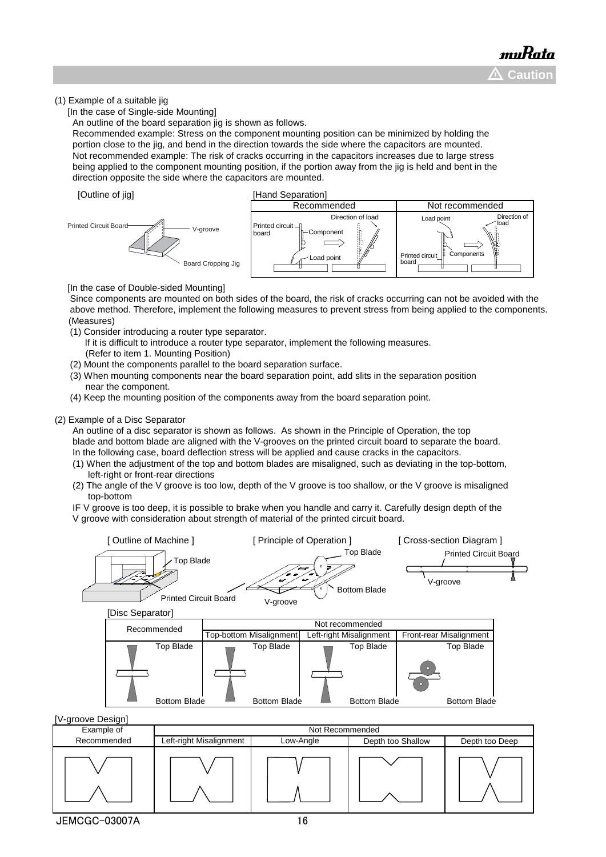#### (1) Example of a suitable jig

[In the case of Single-side Mounting]

An outline of the board separation jig is shown as follows.

 Recommended example: Stress on the component mounting position can be minimized by holding the portion close to the jig, and bend in the direction towards the side where the capacitors are mounted. Not recommended example: The risk of cracks occurring in the capacitors increases due to large stress being applied to the component mounting position, if the portion away from the jig is held and bent in the direction opposite the side where the capacitors are mounted.





[In the case of Double-sided Mounting]

 Since components are mounted on both sides of the board, the risk of cracks occurring can not be avoided with the above method. Therefore, implement the following measures to prevent stress from being applied to the components. (Measures)

- (1) Consider introducing a router type separator.
	- If it is difficult to introduce a router type separator, implement the following measures. (Refer to item 1. Mounting Position)
- (2) Mount the components parallel to the board separation surface.
- (3) When mounting components near the board separation point, add slits in the separation position near the component.
- (4) Keep the mounting position of the components away from the board separation point.

#### (2) Example of a Disc Separator

 An outline of a disc separator is shown as follows. As shown in the Principle of Operation, the top blade and bottom blade are aligned with the V-grooves on the printed circuit board to separate the board. In the following case, board deflection stress will be applied and cause cracks in the capacitors.

- (1) When the adjustment of the top and bottom blades are misaligned, such as deviating in the top-bottom, left-right or front-rear directions
- (2) The angle of the V groove is too low, depth of the V groove is too shallow, or the V groove is misaligned top-bottom

 IF V groove is too deep, it is possible to brake when you handle and carry it. Carefully design depth of the V groove with consideration about strength of material of the printed circuit board.

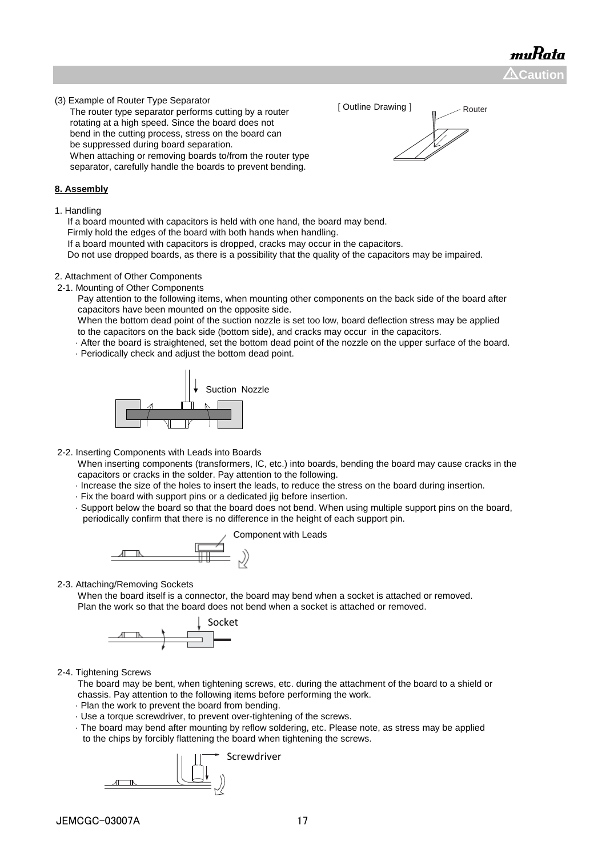muRata  $\Delta$ Caution

(3) Example of Router Type Separator

 The router type separator performs cutting by a router rotating at a high speed. Since the board does not bend in the cutting process, stress on the board can be suppressed during board separation. When attaching or removing boards to/from the router type separator, carefully handle the boards to prevent bending.

#### **8. Assembly**

1. Handling

If a board mounted with capacitors is held with one hand, the board may bend.

Firmly hold the edges of the board with both hands when handling.

If a board mounted with capacitors is dropped, cracks may occur in the capacitors.

Do not use dropped boards, as there is a possibility that the quality of the capacitors may be impaired.

#### 2. Attachment of Other Components

2-1. Mounting of Other Components

 Pay attention to the following items, when mounting other components on the back side of the board after capacitors have been mounted on the opposite side.

 When the bottom dead point of the suction nozzle is set too low, board deflection stress may be applied to the capacitors on the back side (bottom side), and cracks may occur in the capacitors.

· After the board is straightened, set the bottom dead point of the nozzle on the upper surface of the board.

· Periodically check and adjust the bottom dead point.



2-2. Inserting Components with Leads into Boards

 When inserting components (transformers, IC, etc.) into boards, bending the board may cause cracks in the capacitors or cracks in the solder. Pay attention to the following.

- · Increase the size of the holes to insert the leads, to reduce the stress on the board during insertion.
- · Fix the board with support pins or a dedicated jig before insertion.
- · Support below the board so that the board does not bend. When using multiple support pins on the board, periodically confirm that there is no difference in the height of each support pin.



2-3. Attaching/Removing Sockets

 When the board itself is a connector, the board may bend when a socket is attached or removed. Plan the work so that the board does not bend when a socket is attached or removed.



2-4. Tightening Screws

 The board may be bent, when tightening screws, etc. during the attachment of the board to a shield or chassis. Pay attention to the following items before performing the work.

- · Plan the work to prevent the board from bending.
- · Use a torque screwdriver, to prevent over-tightening of the screws.
- · The board may bend after mounting by reflow soldering, etc. Please note, as stress may be applied to the chips by forcibly flattening the board when tightening the screws.



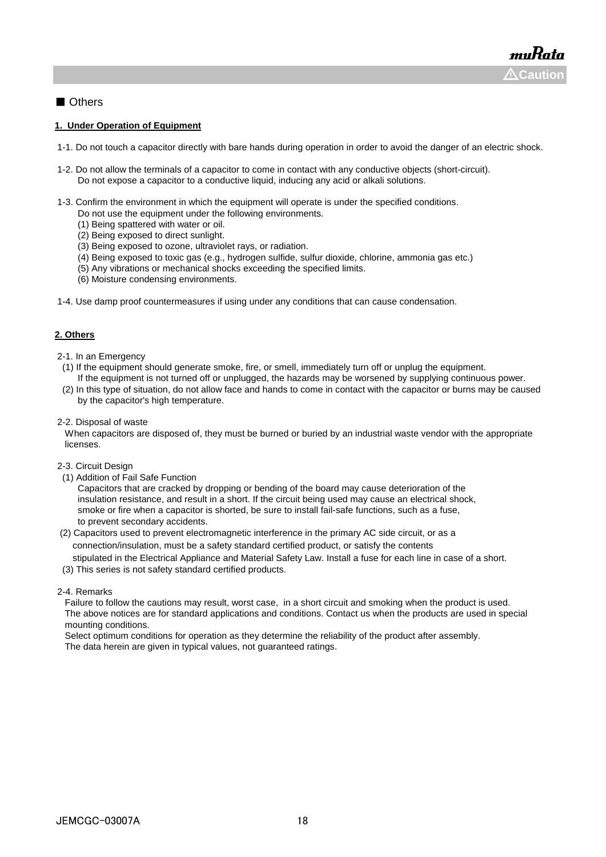#### ■ Others

#### **1. Under Operation of Equipment**

- 1-1. Do not touch a capacitor directly with bare hands during operation in order to avoid the danger of an electric shock.
- 1-2. Do not allow the terminals of a capacitor to come in contact with any conductive objects (short-circuit). Do not expose a capacitor to a conductive liquid, inducing any acid or alkali solutions.
- 1-3. Confirm the environment in which the equipment will operate is under the specified conditions.
	- Do not use the equipment under the following environments.
	- (1) Being spattered with water or oil.
	- (2) Being exposed to direct sunlight.
	- (3) Being exposed to ozone, ultraviolet rays, or radiation.
	- (4) Being exposed to toxic gas (e.g., hydrogen sulfide, sulfur dioxide, chlorine, ammonia gas etc.)
	- (5) Any vibrations or mechanical shocks exceeding the specified limits.
	- (6) Moisture condensing environments.
- 1-4. Use damp proof countermeasures if using under any conditions that can cause condensation.

#### **2. Others**

- 2-1. In an Emergency
- (1) If the equipment should generate smoke, fire, or smell, immediately turn off or unplug the equipment. If the equipment is not turned off or unplugged, the hazards may be worsened by supplying continuous power.
- (2) In this type of situation, do not allow face and hands to come in contact with the capacitor or burns may be caused by the capacitor's high temperature.
- 2-2. Disposal of waste

 When capacitors are disposed of, they must be burned or buried by an industrial waste vendor with the appropriate licenses.

- 2-3. Circuit Design
- (1) Addition of Fail Safe Function

 Capacitors that are cracked by dropping or bending of the board may cause deterioration of the insulation resistance, and result in a short. If the circuit being used may cause an electrical shock, smoke or fire when a capacitor is shorted, be sure to install fail-safe functions, such as a fuse, to prevent secondary accidents.

 (2) Capacitors used to prevent electromagnetic interference in the primary AC side circuit, or as a connection/insulation, must be a safety standard certified product, or satisfy the contents stipulated in the Electrical Appliance and Material Safety Law. Install a fuse for each line in case of a short.

(3) This series is not safety standard certified products.

#### 2-4. Remarks

 Failure to follow the cautions may result, worst case, in a short circuit and smoking when the product is used. The above notices are for standard applications and conditions. Contact us when the products are used in special mounting conditions.

 Select optimum conditions for operation as they determine the reliability of the product after assembly. The data herein are given in typical values, not guaranteed ratings.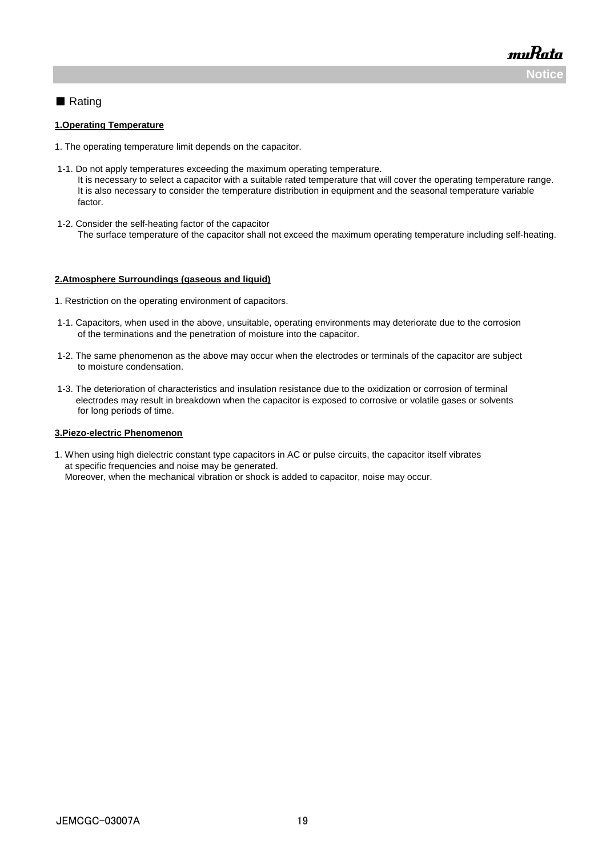muRata **Noti** 

#### ■ Rating

#### **1.Operating Temperature**

- 1. The operating temperature limit depends on the capacitor.
- 1-1. Do not apply temperatures exceeding the maximum operating temperature. It is necessary to select a capacitor with a suitable rated temperature that will cover the operating temperature range. It is also necessary to consider the temperature distribution in equipment and the seasonal temperature variable factor.
- 1-2. Consider the self-heating factor of the capacitor The surface temperature of the capacitor shall not exceed the maximum operating temperature including self-heating.

#### **2.Atmosphere Surroundings (gaseous and liquid)**

- 1. Restriction on the operating environment of capacitors.
- 1-1. Capacitors, when used in the above, unsuitable, operating environments may deteriorate due to the corrosion of the terminations and the penetration of moisture into the capacitor.
- 1-2. The same phenomenon as the above may occur when the electrodes or terminals of the capacitor are subject to moisture condensation.
- 1-3. The deterioration of characteristics and insulation resistance due to the oxidization or corrosion of terminal electrodes may result in breakdown when the capacitor is exposed to corrosive or volatile gases or solvents for long periods of time.

#### **3.Piezo-electric Phenomenon**

1. When using high dielectric constant type capacitors in AC or pulse circuits, the capacitor itself vibrates at specific frequencies and noise may be generated. Moreover, when the mechanical vibration or shock is added to capacitor, noise may occur.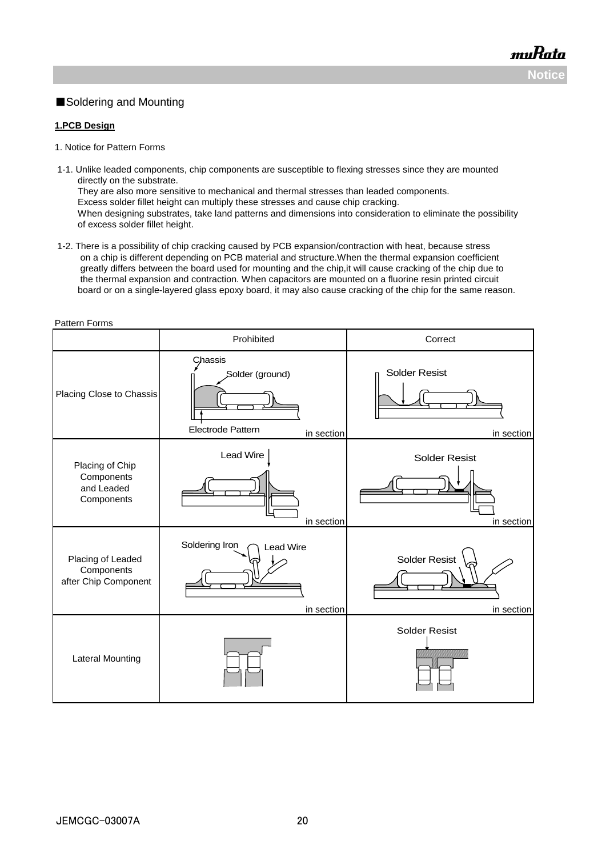#### ■Soldering and Mounting

#### **1.PCB Design**

Pattern Forms

- 1. Notice for Pattern Forms
- 1-1. Unlike leaded components, chip components are susceptible to flexing stresses since they are mounted directly on the substrate. They are also more sensitive to mechanical and thermal stresses than leaded components. Excess solder fillet height can multiply these stresses and cause chip cracking. When designing substrates, take land patterns and dimensions into consideration to eliminate the possibility of excess solder fillet height.
- 1-2. There is a possibility of chip cracking caused by PCB expansion/contraction with heat, because stress on a chip is different depending on PCB material and structure.When the thermal expansion coefficient greatly differs between the board used for mounting and the chip,it will cause cracking of the chip due to the thermal expansion and contraction. When capacitors are mounted on a fluorine resin printed circuit board or on a single-layered glass epoxy board, it may also cause cracking of the chip for the same reason.

| allon Lonno                                               | Prohibited                                                    | Correct                                                   |
|-----------------------------------------------------------|---------------------------------------------------------------|-----------------------------------------------------------|
| Placing Close to Chassis                                  | Chassis<br>Solder (ground)<br>Electrode Pattern<br>in section | Solder Resist<br>in section                               |
| Placing of Chip<br>Components<br>and Leaded<br>Components | Lead Wire<br>in section                                       | <b>Solder Resist</b><br>in section                        |
| Placing of Leaded<br>Components<br>after Chip Component   | Soldering Iron<br><b>Lead Wire</b><br>in section              | <b>Solder Resist</b><br>in section                        |
| <b>Lateral Mounting</b>                                   |                                                               | <b>Solder Resist</b><br><u>Mille Mallet Mallet Montan</u> |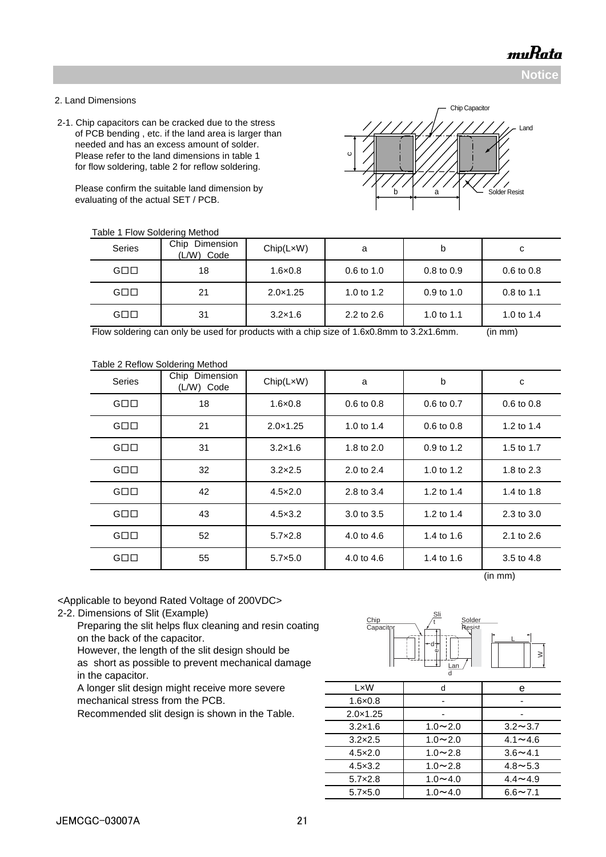**Notice**

#### 2. Land Dimensions

 2-1. Chip capacitors can be cracked due to the stress of PCB bending , etc. if the land area is larger than needed and has an excess amount of solder. Please refer to the land dimensions in table 1 for flow soldering, table 2 for reflow soldering.

 Please confirm the suitable land dimension by evaluating of the actual SET / PCB.

c//<br>Solder Resist Chip Capacitor Land

| <b>Series</b>       | Chip<br>Dimension<br>(L/W)<br>Code | Chip(LxW)         | a                     | b              | с                     |
|---------------------|------------------------------------|-------------------|-----------------------|----------------|-----------------------|
| $G \square \square$ | 18                                 | $1.6 \times 0.8$  | $0.6 \text{ to } 1.0$ | $0.8$ to $0.9$ | $0.6 \text{ to } 0.8$ |
| $G \square \square$ | 21                                 | $2.0 \times 1.25$ | 1.0 to $1.2$          | $0.9$ to 1.0   | $0.8$ to 1.1          |
| $G \square \square$ | 31                                 | $3.2 \times 1.6$  | 2.2 to $2.6$          | 1.0 to 1.1     | 1.0 to $1.4$          |

Flow soldering can only be used for products with a chip size of 1.6x0.8mm to 3.2x1.6mm. (in mm)

#### Table 2 Reflow Soldering Method

| <b>Series</b>       | Chip Dimension<br>(L/W) Code | Chip(LxW)         | a          | b          | c          |
|---------------------|------------------------------|-------------------|------------|------------|------------|
| $G \square \square$ | 18                           | $1.6 \times 0.8$  | 0.6 to 0.8 | 0.6 to 0.7 | 0.6 to 0.8 |
| $G \square \square$ | 21                           | $2.0 \times 1.25$ | 1.0 to 1.4 | 0.6 to 0.8 | 1.2 to 1.4 |
| $G \square \square$ | 31                           | $3.2 \times 1.6$  | 1.8 to 2.0 | 0.9 to 1.2 | 1.5 to 1.7 |
| $G \square \square$ | 32                           | $3.2\times2.5$    | 2.0 to 2.4 | 1.0 to 1.2 | 1.8 to 2.3 |
| $G \square \square$ | 42                           | $4.5 \times 2.0$  | 2.8 to 3.4 | 1.2 to 1.4 | 1.4 to 1.8 |
| $G \square \square$ | 43                           | $4.5 \times 3.2$  | 3.0 to 3.5 | 1.2 to 1.4 | 2.3 to 3.0 |
| $G \square \square$ | 52                           | $5.7 \times 2.8$  | 4.0 to 4.6 | 1.4 to 1.6 | 2.1 to 2.6 |
| $G \square \square$ | 55                           | $5.7 \times 5.0$  | 4.0 to 4.6 | 1.4 to 1.6 | 3.5 to 4.8 |

(in mm)

<Applicable to beyond Rated Voltage of 200VDC>

2-2. Dimensions of Slit (Example)

 Preparing the slit helps flux cleaning and resin coating on the back of the capacitor.

 However, the length of the slit design should be as short as possible to prevent mechanical damage

in the capacitor.

A longer slit design might receive more severe mechanical stress from the PCB.

Recommended slit design is shown in the Table.



| LxW               | d              | е              |
|-------------------|----------------|----------------|
| $1.6 \times 0.8$  |                |                |
| $2.0 \times 1.25$ |                |                |
| $3.2 \times 1.6$  | $1.0 - 2.0$    | $3.2 \sim 3.7$ |
| $3.2 \times 2.5$  | $1.0 - 2.0$    | $4.1 - 4.6$    |
| $4.5 \times 2.0$  | $1.0 - 2.8$    | $3.6 - 4.1$    |
| $4.5 \times 3.2$  | $1.0 - 2.8$    | $4.8 - 5.3$    |
| $5.7 \times 2.8$  | $1.0 - 4.0$    | $4.4 \sim 4.9$ |
| $5.7\times5.0$    | 1.0 $\sim$ 4.0 | $6.6 \sim 7.1$ |

JEMCGC-03007A 21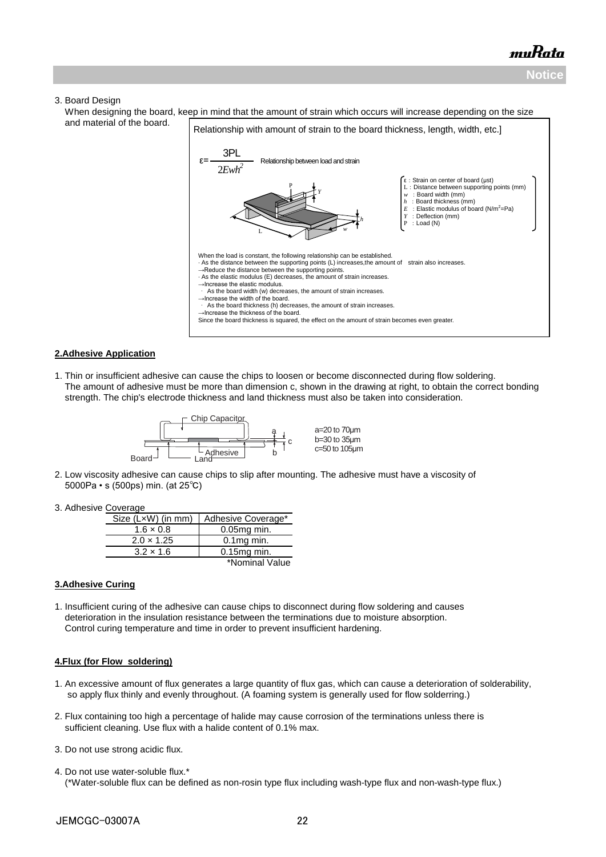## muRata **Noti**

#### 3. Board Design

 When designing the board, keep in mind that the amount of strain which occurs will increase depending on the size and material of the board.



#### **2.Adhesive Application**

1. Thin or insufficient adhesive can cause the chips to loosen or become disconnected during flow soldering. The amount of adhesive must be more than dimension c, shown in the drawing at right, to obtain the correct bonding strength. The chip's electrode thickness and land thickness must also be taken into consideration.



- 2. Low viscosity adhesive can cause chips to slip after mounting. The adhesive must have a viscosity of 5000Pa • s (500ps) min. (at 25℃)
- 3. Adhesive Coverage

| Size (LxW) (in mm) | Adhesive Coverage* |
|--------------------|--------------------|
| $1.6 \times 0.8$   | $0.05$ mg min.     |
| $2.0 \times 1.25$  | $0.1$ mg min.      |
| $3.2 \times 1.6$   | $0.15mg$ min.      |
|                    | *Nominal Value     |

#### **3.Adhesive Curing**

1. Insufficient curing of the adhesive can cause chips to disconnect during flow soldering and causes deterioration in the insulation resistance between the terminations due to moisture absorption. Control curing temperature and time in order to prevent insufficient hardening.

#### **4.Flux (for Flow soldering)**

- 1. An excessive amount of flux generates a large quantity of flux gas, which can cause a deterioration of solderability, so apply flux thinly and evenly throughout. (A foaming system is generally used for flow solderring.)
- 2. Flux containing too high a percentage of halide may cause corrosion of the terminations unless there is sufficient cleaning. Use flux with a halide content of 0.1% max.
- 3. Do not use strong acidic flux.
- 4. Do not use water-soluble flux.\* (\*Water-soluble flux can be defined as non-rosin type flux including wash-type flux and non-wash-type flux.)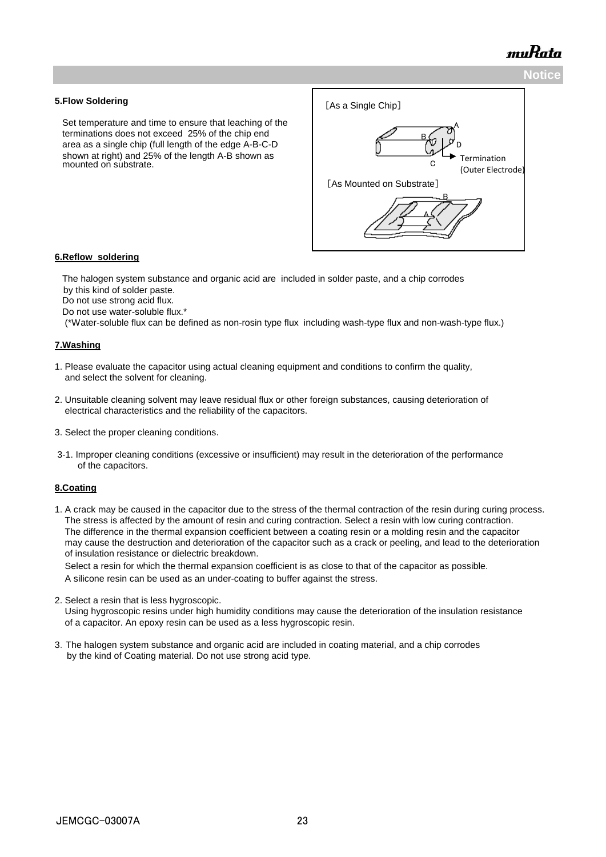

#### **5.Flow Soldering**

 Set temperature and time to ensure that leaching of the terminations does not exceed 25% of the chip end area as a single chip (full length of the edge A-B-C-D shown at right) and 25% of the length A-B shown as mounted on substrate.



#### **6.Reflow soldering**

 The halogen system substance and organic acid are included in solder paste, and a chip corrodes by this kind of solder paste.

Do not use strong acid flux.

Do not use water-soluble flux.\*

(\*Water-soluble flux can be defined as non-rosin type flux including wash-type flux and non-wash-type flux.)

#### **7.Washing**

- 1. Please evaluate the capacitor using actual cleaning equipment and conditions to confirm the quality, and select the solvent for cleaning.
- 2. Unsuitable cleaning solvent may leave residual flux or other foreign substances, causing deterioration of electrical characteristics and the reliability of the capacitors.
- 3. Select the proper cleaning conditions.
- 3-1. Improper cleaning conditions (excessive or insufficient) may result in the deterioration of the performance of the capacitors.

#### **8.Coating**

1. A crack may be caused in the capacitor due to the stress of the thermal contraction of the resin during curing process. The stress is affected by the amount of resin and curing contraction. Select a resin with low curing contraction. The difference in the thermal expansion coefficient between a coating resin or a molding resin and the capacitor may cause the destruction and deterioration of the capacitor such as a crack or peeling, and lead to the deterioration of insulation resistance or dielectric breakdown.

 Select a resin for which the thermal expansion coefficient is as close to that of the capacitor as possible. A silicone resin can be used as an under-coating to buffer against the stress.

2. Select a resin that is less hygroscopic.

 Using hygroscopic resins under high humidity conditions may cause the deterioration of the insulation resistance of a capacitor. An epoxy resin can be used as a less hygroscopic resin.

3.The halogen system substance and organic acid are included in coating material, and a chip corrodes by the kind of Coating material. Do not use strong acid type.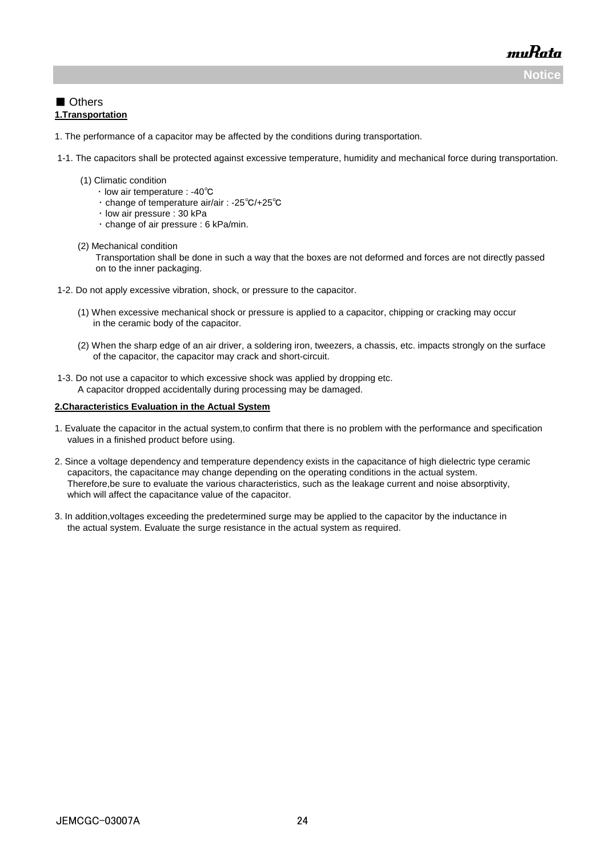**Notice**

muRata

#### ■ Others **1.Transportation**

- 1. The performance of a capacitor may be affected by the conditions during transportation.
- 1-1. The capacitors shall be protected against excessive temperature, humidity and mechanical force during transportation.
	- (1) Climatic condition
		- ・ low air temperature : -40℃
		- ・ change of temperature air/air : -25℃/+25℃
		- ・ low air pressure : 30 kPa
			- ・ change of air pressure : 6 kPa/min.
	- (2) Mechanical condition

 Transportation shall be done in such a way that the boxes are not deformed and forces are not directly passed on to the inner packaging.

- 1-2. Do not apply excessive vibration, shock, or pressure to the capacitor.
	- (1) When excessive mechanical shock or pressure is applied to a capacitor, chipping or cracking may occur in the ceramic body of the capacitor.
	- (2) When the sharp edge of an air driver, a soldering iron, tweezers, a chassis, etc. impacts strongly on the surface of the capacitor, the capacitor may crack and short-circuit.
- 1-3. Do not use a capacitor to which excessive shock was applied by dropping etc. A capacitor dropped accidentally during processing may be damaged.

#### **2.Characteristics Evaluation in the Actual System**

- 1. Evaluate the capacitor in the actual system,to confirm that there is no problem with the performance and specification values in a finished product before using.
- 2. Since a voltage dependency and temperature dependency exists in the capacitance of high dielectric type ceramic capacitors, the capacitance may change depending on the operating conditions in the actual system. Therefore,be sure to evaluate the various characteristics, such as the leakage current and noise absorptivity, which will affect the capacitance value of the capacitor.
- 3. In addition,voltages exceeding the predetermined surge may be applied to the capacitor by the inductance in the actual system. Evaluate the surge resistance in the actual system as required.